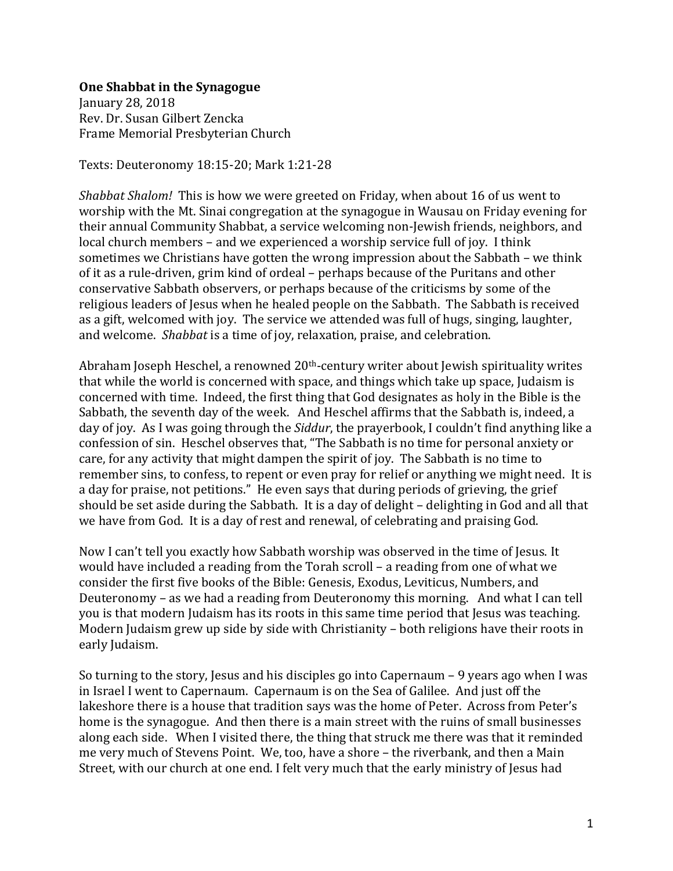## **One Shabbat in the Synagogue**

January 28, 2018 Rev. Dr. Susan Gilbert Zencka Frame Memorial Presbyterian Church

Texts: Deuteronomy 18:15-20; Mark 1:21-28

*Shabbat Shalom!* This is how we were greeted on Friday, when about 16 of us went to worship with the Mt. Sinai congregation at the synagogue in Wausau on Friday evening for their annual Community Shabbat, a service welcoming non-Jewish friends, neighbors, and local church members – and we experienced a worship service full of joy. I think sometimes we Christians have gotten the wrong impression about the Sabbath – we think of it as a rule-driven, grim kind of ordeal – perhaps because of the Puritans and other conservative Sabbath observers, or perhaps because of the criticisms by some of the religious leaders of Jesus when he healed people on the Sabbath. The Sabbath is received as a gift, welcomed with joy. The service we attended was full of hugs, singing, laughter, and welcome. *Shabbat* is a time of joy, relaxation, praise, and celebration.

Abraham Joseph Heschel, a renowned 20<sup>th</sup>-century writer about Jewish spirituality writes that while the world is concerned with space, and things which take up space, Judaism is concerned with time. Indeed, the first thing that God designates as holy in the Bible is the Sabbath, the seventh day of the week. And Heschel affirms that the Sabbath is, indeed, a day of joy. As I was going through the *Siddur*, the prayerbook, I couldn't find anything like a confession of sin. Heschel observes that, "The Sabbath is no time for personal anxiety or care, for any activity that might dampen the spirit of joy. The Sabbath is no time to remember sins, to confess, to repent or even pray for relief or anything we might need. It is a day for praise, not petitions." He even says that during periods of grieving, the grief should be set aside during the Sabbath. It is a day of delight – delighting in God and all that we have from God. It is a day of rest and renewal, of celebrating and praising God.

Now I can't tell you exactly how Sabbath worship was observed in the time of Jesus. It would have included a reading from the Torah scroll – a reading from one of what we consider the first five books of the Bible: Genesis, Exodus, Leviticus, Numbers, and Deuteronomy – as we had a reading from Deuteronomy this morning. And what I can tell you is that modern Judaism has its roots in this same time period that Jesus was teaching. Modern Judaism grew up side by side with Christianity – both religions have their roots in early Judaism.

So turning to the story, Jesus and his disciples go into Capernaum – 9 years ago when I was in Israel I went to Capernaum. Capernaum is on the Sea of Galilee. And just off the lakeshore there is a house that tradition says was the home of Peter. Across from Peter's home is the synagogue. And then there is a main street with the ruins of small businesses along each side. When I visited there, the thing that struck me there was that it reminded me very much of Stevens Point. We, too, have a shore – the riverbank, and then a Main Street, with our church at one end. I felt very much that the early ministry of Jesus had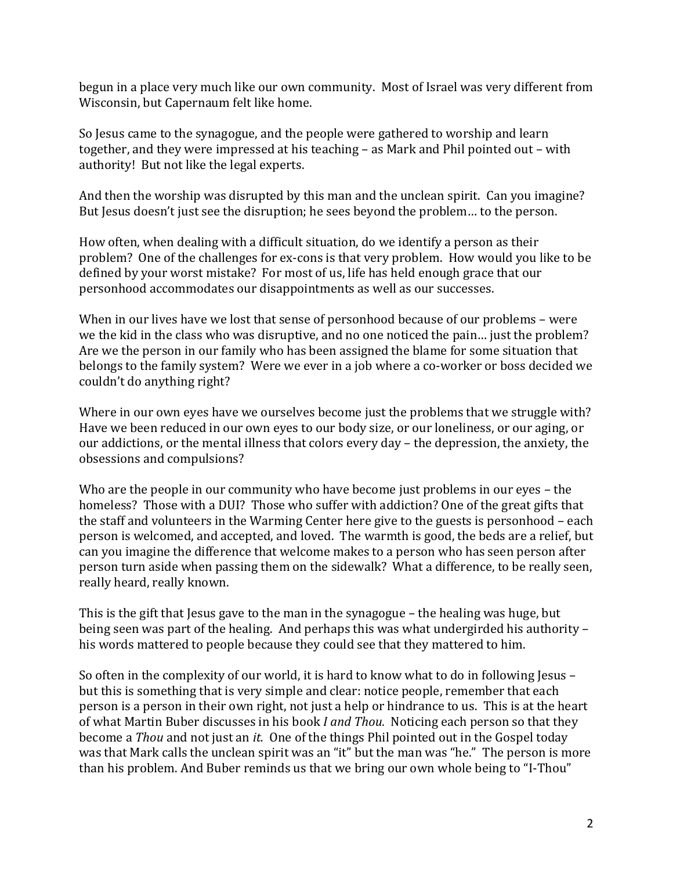begun in a place very much like our own community. Most of Israel was very different from Wisconsin, but Capernaum felt like home.

So Jesus came to the synagogue, and the people were gathered to worship and learn together, and they were impressed at his teaching – as Mark and Phil pointed out – with authority! But not like the legal experts.

And then the worship was disrupted by this man and the unclean spirit. Can you imagine? But Jesus doesn't just see the disruption; he sees beyond the problem… to the person.

How often, when dealing with a difficult situation, do we identify a person as their problem? One of the challenges for ex-cons is that very problem. How would you like to be defined by your worst mistake? For most of us, life has held enough grace that our personhood accommodates our disappointments as well as our successes.

When in our lives have we lost that sense of personhood because of our problems – were we the kid in the class who was disruptive, and no one noticed the pain… just the problem? Are we the person in our family who has been assigned the blame for some situation that belongs to the family system? Were we ever in a job where a co-worker or boss decided we couldn't do anything right?

Where in our own eyes have we ourselves become just the problems that we struggle with? Have we been reduced in our own eyes to our body size, or our loneliness, or our aging, or our addictions, or the mental illness that colors every day – the depression, the anxiety, the obsessions and compulsions?

Who are the people in our community who have become just problems in our eyes – the homeless? Those with a DUI? Those who suffer with addiction? One of the great gifts that the staff and volunteers in the Warming Center here give to the guests is personhood – each person is welcomed, and accepted, and loved. The warmth is good, the beds are a relief, but can you imagine the difference that welcome makes to a person who has seen person after person turn aside when passing them on the sidewalk? What a difference, to be really seen, really heard, really known.

This is the gift that Jesus gave to the man in the synagogue – the healing was huge, but being seen was part of the healing. And perhaps this was what undergirded his authority – his words mattered to people because they could see that they mattered to him.

So often in the complexity of our world, it is hard to know what to do in following Jesus – but this is something that is very simple and clear: notice people, remember that each person is a person in their own right, not just a help or hindrance to us. This is at the heart of what Martin Buber discusses in his book *I and Thou.* Noticing each person so that they become a *Thou* and not just an *it.* One of the things Phil pointed out in the Gospel today was that Mark calls the unclean spirit was an "it" but the man was "he." The person is more than his problem. And Buber reminds us that we bring our own whole being to "I-Thou"